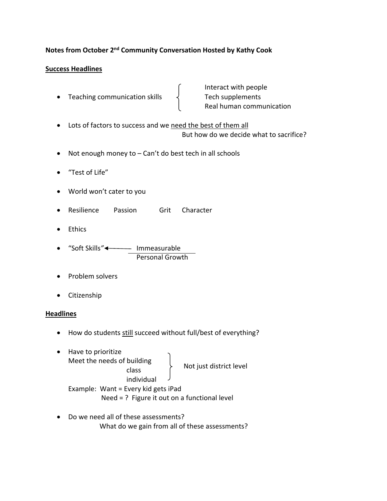## **Notes from October 2nd Community Conversation Hosted by Kathy Cook**

## **Success Headlines**

• Teaching communication skills  $\left\{\right.$  Tech supplements

 Interact with people Real human communication

- Lots of factors to success and we need the best of them all But how do we decide what to sacrifice?
- Not enough money to Can't do best tech in all schools
- "Test of Life"
- World won't cater to you
- Resilience Passion Grit Character
- Ethics
- "Soft Skills*"* Immeasurable Personal Growth
- Problem solvers
- **•** Citizenship

## **Headlines**

- How do students still succeed without full/best of everything?
- Have to prioritize Meet the needs of building class individual Example: Want = Every kid gets iPad Not just district level
	- Need = ? Figure it out on a functional level
- Do we need all of these assessments? What do we gain from all of these assessments?